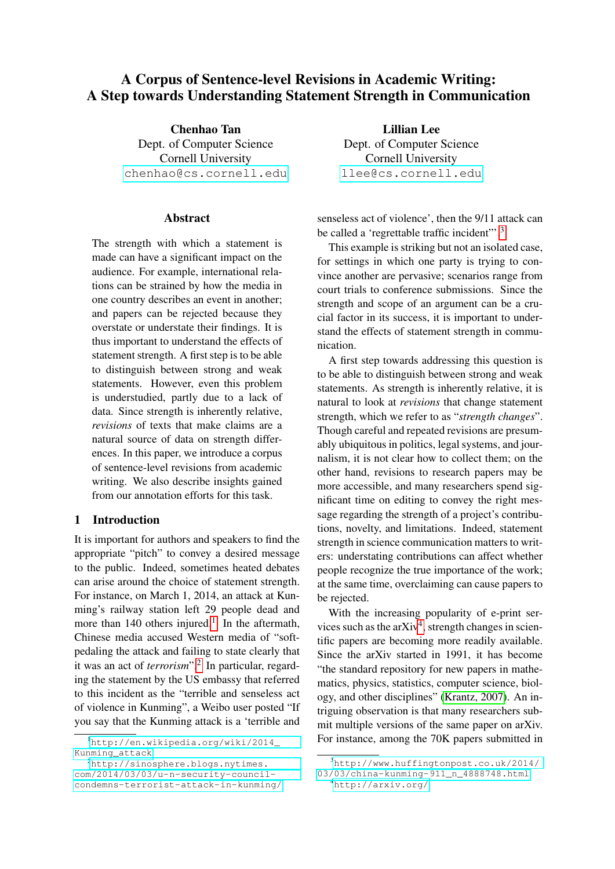# A Corpus of Sentence-level Revisions in Academic Writing: A Step towards Understanding Statement Strength in Communication

Chenhao Tan Dept. of Computer Science Cornell University [chenhao@cs.cornell.edu](mailto:chenhao@cs.cornell.edu)

#### **Abstract**

The strength with which a statement is made can have a significant impact on the audience. For example, international relations can be strained by how the media in one country describes an event in another; and papers can be rejected because they overstate or understate their findings. It is thus important to understand the effects of statement strength. A first step is to be able to distinguish between strong and weak statements. However, even this problem is understudied, partly due to a lack of data. Since strength is inherently relative, *revisions* of texts that make claims are a natural source of data on strength differences. In this paper, we introduce a corpus of sentence-level revisions from academic writing. We also describe insights gained from our annotation efforts for this task.

### <span id="page-0-4"></span>1 Introduction

It is important for authors and speakers to find the appropriate "pitch" to convey a desired message to the public. Indeed, sometimes heated debates can arise around the choice of statement strength. For instance, on March 1, 2014, an attack at Kunming's railway station left 29 people dead and more than [1](#page-0-0)40 others injured.<sup>1</sup> In the aftermath, Chinese media accused Western media of "softpedaling the attack and failing to state clearly that it was an act of *terrorism*".<sup>[2](#page-0-1)</sup> In particular, regarding the statement by the US embassy that referred to this incident as the "terrible and senseless act of violence in Kunming", a Weibo user posted "If you say that the Kunming attack is a 'terrible and

<span id="page-0-1"></span><sup>2</sup>[http://sinosphere.blogs.nytimes.](http://sinosphere.blogs.nytimes.com/2014/03/03/u-n-security-council-condemns-terrorist-attack-in-kunming/) [com/2014/03/03/u-n-security-council](http://sinosphere.blogs.nytimes.com/2014/03/03/u-n-security-council-condemns-terrorist-attack-in-kunming/)[condemns-terrorist-attack-in-kunming/](http://sinosphere.blogs.nytimes.com/2014/03/03/u-n-security-council-condemns-terrorist-attack-in-kunming/)

Lillian Lee Dept. of Computer Science Cornell University [llee@cs.cornell.edu](mailto:llee@cs.cornell.edu)

senseless act of violence', then the 9/11 attack can be called a 'regrettable traffic incident'".<sup>[3](#page-0-2)</sup>

This example is striking but not an isolated case, for settings in which one party is trying to convince another are pervasive; scenarios range from court trials to conference submissions. Since the strength and scope of an argument can be a crucial factor in its success, it is important to understand the effects of statement strength in communication.

A first step towards addressing this question is to be able to distinguish between strong and weak statements. As strength is inherently relative, it is natural to look at *revisions* that change statement strength, which we refer to as "*strength changes*". Though careful and repeated revisions are presumably ubiquitous in politics, legal systems, and journalism, it is not clear how to collect them; on the other hand, revisions to research papers may be more accessible, and many researchers spend significant time on editing to convey the right message regarding the strength of a project's contributions, novelty, and limitations. Indeed, statement strength in science communication matters to writers: understating contributions can affect whether people recognize the true importance of the work; at the same time, overclaiming can cause papers to be rejected.

With the increasing popularity of e-print ser-vices such as the arXiv<sup>[4](#page-0-3)</sup>, strength changes in scientific papers are becoming more readily available. Since the arXiv started in 1991, it has become "the standard repository for new papers in mathematics, physics, statistics, computer science, biology, and other disciplines" [\(Krantz, 2007\)](#page-5-0). An intriguing observation is that many researchers submit multiple versions of the same paper on arXiv. For instance, among the 70K papers submitted in

<span id="page-0-0"></span><sup>1</sup>[http://en.wikipedia.org/wiki/2014\\_](http://en.wikipedia.org/wiki/2014_Kunming_attack) [Kunming\\_attack](http://en.wikipedia.org/wiki/2014_Kunming_attack)

<span id="page-0-2"></span> $3$ [http://www.huffingtonpost.co.uk/2014/](http://www.huffingtonpost.co.uk/2014/03/03/china-kunming-911_n_4888748.html) [03/03/china-kunming-911\\_n\\_4888748.html](http://www.huffingtonpost.co.uk/2014/03/03/china-kunming-911_n_4888748.html)

<span id="page-0-3"></span><sup>4</sup><http://arxiv.org/>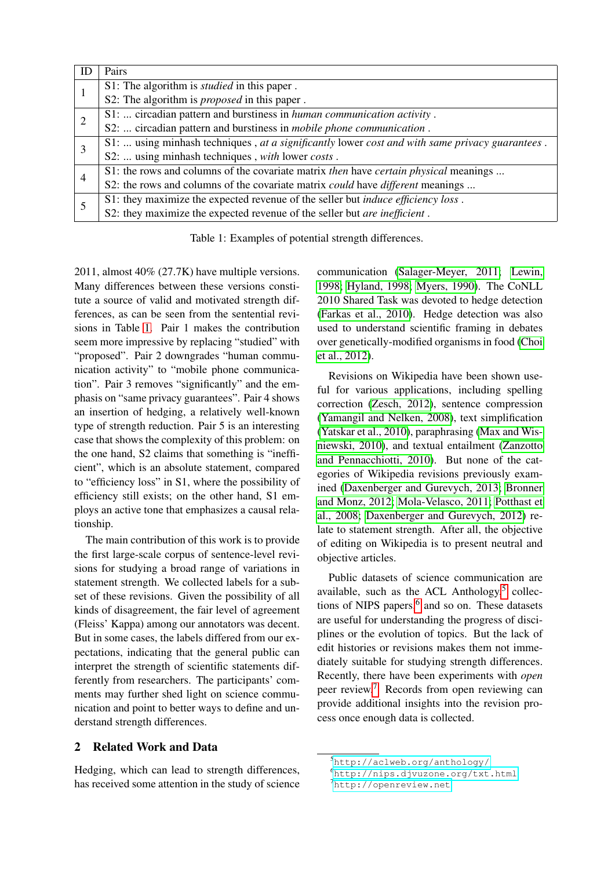<span id="page-1-0"></span>

| ΙD | Pairs                                                                                          |
|----|------------------------------------------------------------------------------------------------|
|    | S1: The algorithm is <i>studied</i> in this paper.                                             |
|    | S2: The algorithm is <i>proposed</i> in this paper.                                            |
|    | S1:  circadian pattern and burstiness in human communication activity.                         |
|    | S2:  circadian pattern and burstiness in <i>mobile phone communication</i> .                   |
| 3  | S1:  using minhash techniques, at a significantly lower cost and with same privacy guarantees. |
|    | S2:  using minhash techniques, with lower costs.                                               |
| 4  | S1: the rows and columns of the covariate matrix then have certain physical meanings           |
|    | S2: the rows and columns of the covariate matrix <i>could</i> have <i>different</i> meanings   |
|    | S1: they maximize the expected revenue of the seller but <i>induce efficiency loss</i> .       |
|    | S2: they maximize the expected revenue of the seller but <i>are inefficient</i> .              |

Table 1: Examples of potential strength differences.

2011, almost 40% (27.7K) have multiple versions. Many differences between these versions constitute a source of valid and motivated strength differences, as can be seen from the sentential revisions in Table [1.](#page-1-0) Pair 1 makes the contribution seem more impressive by replacing "studied" with "proposed". Pair 2 downgrades "human communication activity" to "mobile phone communication". Pair 3 removes "significantly" and the emphasis on "same privacy guarantees". Pair 4 shows an insertion of hedging, a relatively well-known type of strength reduction. Pair 5 is an interesting case that shows the complexity of this problem: on the one hand, S2 claims that something is "inefficient", which is an absolute statement, compared to "efficiency loss" in S1, where the possibility of efficiency still exists; on the other hand, S1 employs an active tone that emphasizes a causal relationship.

The main contribution of this work is to provide the first large-scale corpus of sentence-level revisions for studying a broad range of variations in statement strength. We collected labels for a subset of these revisions. Given the possibility of all kinds of disagreement, the fair level of agreement (Fleiss' Kappa) among our annotators was decent. But in some cases, the labels differed from our expectations, indicating that the general public can interpret the strength of scientific statements differently from researchers. The participants' comments may further shed light on science communication and point to better ways to define and understand strength differences.

## 2 Related Work and Data

Hedging, which can lead to strength differences, has received some attention in the study of science

communication [\(Salager-Meyer, 2011;](#page-5-1) [Lewin,](#page-5-2) [1998;](#page-5-2) [Hyland, 1998;](#page-5-3) [Myers, 1990\)](#page-5-4). The CoNLL 2010 Shared Task was devoted to hedge detection [\(Farkas et al., 2010\)](#page-5-5). Hedge detection was also used to understand scientific framing in debates over genetically-modified organisms in food [\(Choi](#page-5-6) [et al., 2012\)](#page-5-6).

Revisions on Wikipedia have been shown useful for various applications, including spelling correction [\(Zesch, 2012\)](#page-5-7), sentence compression [\(Yamangil and Nelken, 2008\)](#page-5-8), text simplification [\(Yatskar et al., 2010\)](#page-5-9), paraphrasing [\(Max and Wis](#page-5-10)[niewski, 2010\)](#page-5-10), and textual entailment [\(Zanzotto](#page-5-11) [and Pennacchiotti, 2010\)](#page-5-11). But none of the categories of Wikipedia revisions previously examined [\(Daxenberger and Gurevych, 2013;](#page-5-12) [Bronner](#page-5-13) [and Monz, 2012;](#page-5-13) [Mola-Velasco, 2011;](#page-5-14) [Potthast et](#page-5-15) [al., 2008;](#page-5-15) [Daxenberger and Gurevych, 2012\)](#page-5-16) relate to statement strength. After all, the objective of editing on Wikipedia is to present neutral and objective articles.

Public datasets of science communication are available, such as the ACL Anthology, $5$  collec-tions of NIPS papers,<sup>[6](#page-1-2)</sup> and so on. These datasets are useful for understanding the progress of disciplines or the evolution of topics. But the lack of edit histories or revisions makes them not immediately suitable for studying strength differences. Recently, there have been experiments with *open* peer review.[7](#page-1-3) Records from open reviewing can provide additional insights into the revision process once enough data is collected.

<span id="page-1-1"></span><sup>5</sup><http://aclweb.org/anthology/>

<span id="page-1-2"></span><sup>6</sup><http://nips.djvuzone.org/txt.html>

<span id="page-1-3"></span><sup>7</sup><http://openreview.net>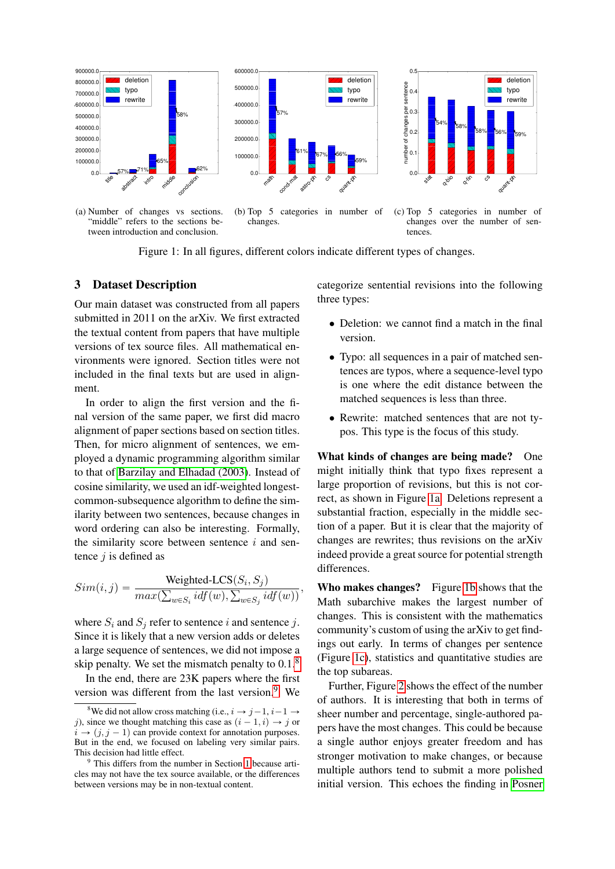<span id="page-2-2"></span>

tween introduction and conclusion.



Figure 1: In all figures, different colors indicate different types of changes.

#### 3 Dataset Description

Our main dataset was constructed from all papers submitted in 2011 on the arXiv. We first extracted the textual content from papers that have multiple versions of tex source files. All mathematical environments were ignored. Section titles were not included in the final texts but are used in alignment.

In order to align the first version and the final version of the same paper, we first did macro alignment of paper sections based on section titles. Then, for micro alignment of sentences, we employed a dynamic programming algorithm similar to that of [Barzilay and Elhadad \(2003\)](#page-5-17). Instead of cosine similarity, we used an idf-weighted longestcommon-subsequence algorithm to define the similarity between two sentences, because changes in word ordering can also be interesting. Formally, the similarity score between sentence  $i$  and sentence  $j$  is defined as

$$
Sim(i, j) = \frac{\text{Weighted-LCS}(S_i, S_j)}{\max(\sum_{w \in S_i} idf(w), \sum_{w \in S_j} idf(w))},
$$

where  $S_i$  and  $S_j$  refer to sentence i and sentence j. Since it is likely that a new version adds or deletes a large sequence of sentences, we did not impose a skip penalty. We set the mismatch penalty to  $0.1<sup>8</sup>$  $0.1<sup>8</sup>$  $0.1<sup>8</sup>$ 

In the end, there are 23K papers where the first version was different from the last version. $9$  We categorize sentential revisions into the following three types:

- Deletion: we cannot find a match in the final version.
- Typo: all sequences in a pair of matched sentences are typos, where a sequence-level typo is one where the edit distance between the matched sequences is less than three.
- Rewrite: matched sentences that are not typos. This type is the focus of this study.

What kinds of changes are being made? One might initially think that typo fixes represent a large proportion of revisions, but this is not correct, as shown in Figure [1a.](#page-2-2) Deletions represent a substantial fraction, especially in the middle section of a paper. But it is clear that the majority of changes are rewrites; thus revisions on the arXiv indeed provide a great source for potential strength differences.

Who makes changes? Figure [1b](#page-2-2) shows that the Math subarchive makes the largest number of changes. This is consistent with the mathematics community's custom of using the arXiv to get findings out early. In terms of changes per sentence (Figure [1c\)](#page-2-2), statistics and quantitative studies are the top subareas.

Further, Figure [2](#page-3-0) shows the effect of the number of authors. It is interesting that both in terms of sheer number and percentage, single-authored papers have the most changes. This could be because a single author enjoys greater freedom and has stronger motivation to make changes, or because multiple authors tend to submit a more polished initial version. This echoes the finding in [Posner](#page-5-18)

<span id="page-2-0"></span><sup>&</sup>lt;sup>8</sup>We did not allow cross matching (i.e.,  $i \rightarrow j-1, i-1 \rightarrow$ j), since we thought matching this case as  $(i - 1, i) \rightarrow j$  or  $i \rightarrow (j, j - 1)$  can provide context for annotation purposes. But in the end, we focused on labeling very similar pairs. This decision had little effect.

<span id="page-2-1"></span><sup>&</sup>lt;sup>9</sup> This differs from the number in Section [1](#page-0-4) because articles may not have the tex source available, or the differences between versions may be in non-textual content.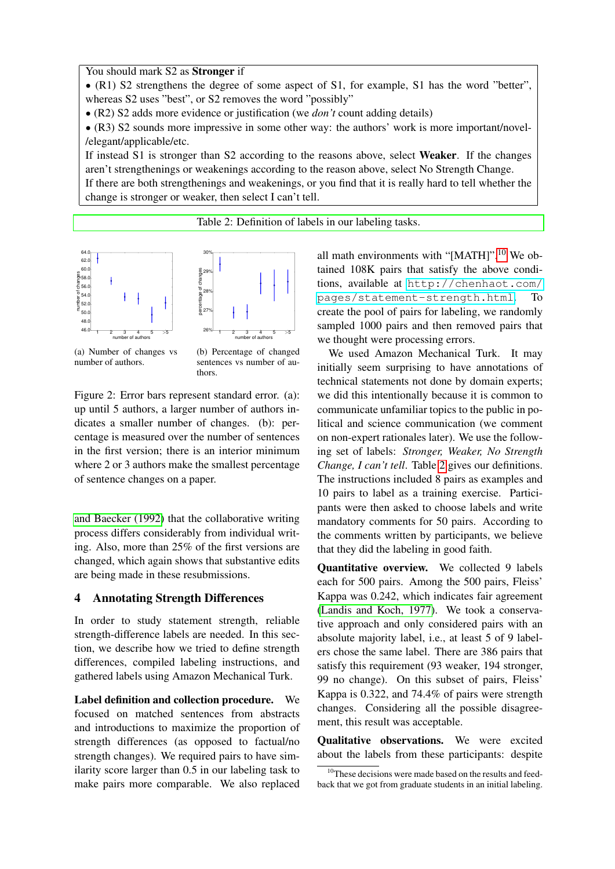<span id="page-3-2"></span>You should mark S2 as Stronger if

' (R1) S2 strengthens the degree of some aspect of S1, for example, S1 has the word "better", whereas S2 uses "best", or S2 removes the word "possibly"

' (R2) S2 adds more evidence or justification (we *don't* count adding details)

' (R3) S2 sounds more impressive in some other way: the authors' work is more important/novel- /elegant/applicable/etc.

If instead S1 is stronger than S2 according to the reasons above, select Weaker. If the changes aren't strengthenings or weakenings according to the reason above, select No Strength Change. If there are both strengthenings and weakenings, or you find that it is really hard to tell whether the change is stronger or weaker, then select I can't tell.

[Table 2: Definition of labels in our labeling tasks.](#page-5-18)

<span id="page-3-0"></span>

(a) Number of changes vs number of authors.

(b) Percentage of changed sentences vs number of authors.

Figure 2: Error bars represent standard error. (a): up until 5 authors, a larger number of authors indicates a smaller number of changes. (b): percentage is measured over the number of sentences in the first version; there is an interior minimum where 2 or 3 authors make the smallest percentage of sentence changes on a paper.

[and Baecker \(1992\)](#page-5-18) that the collaborative writing process differs considerably from individual writing. Also, more than 25% of the first versions are changed, which again shows that substantive edits are being made in these resubmissions.

## 4 Annotating Strength Differences

In order to study statement strength, reliable strength-difference labels are needed. In this section, we describe how we tried to define strength differences, compiled labeling instructions, and gathered labels using Amazon Mechanical Turk.

Label definition and collection procedure. We focused on matched sentences from abstracts and introductions to maximize the proportion of strength differences (as opposed to factual/no strength changes). We required pairs to have similarity score larger than 0.5 in our labeling task to make pairs more comparable. We also replaced all math environments with "[MATH]".<sup>[10](#page-3-1)</sup> We obtained 108K pairs that satisfy the above conditions, available at [http://chenhaot.com/](http://chenhaot.com/pages/statement-strength.html) [pages/statement-strength.html](http://chenhaot.com/pages/statement-strength.html). To create the pool of pairs for labeling, we randomly sampled 1000 pairs and then removed pairs that we thought were processing errors.

We used Amazon Mechanical Turk. It may initially seem surprising to have annotations of technical statements not done by domain experts; we did this intentionally because it is common to communicate unfamiliar topics to the public in political and science communication (we comment on non-expert rationales later). We use the following set of labels: *Stronger, Weaker, No Strength Change, I can't tell*. Table [2](#page-3-2) gives our definitions. The instructions included 8 pairs as examples and 10 pairs to label as a training exercise. Participants were then asked to choose labels and write mandatory comments for 50 pairs. According to the comments written by participants, we believe that they did the labeling in good faith.

Quantitative overview. We collected 9 labels each for 500 pairs. Among the 500 pairs, Fleiss' Kappa was 0.242, which indicates fair agreement [\(Landis and Koch, 1977\)](#page-5-19). We took a conservative approach and only considered pairs with an absolute majority label, i.e., at least 5 of 9 labelers chose the same label. There are 386 pairs that satisfy this requirement (93 weaker, 194 stronger, 99 no change). On this subset of pairs, Fleiss' Kappa is 0.322, and 74.4% of pairs were strength changes. Considering all the possible disagreement, this result was acceptable.

Qualitative observations. We were excited about the labels from these participants: despite

<span id="page-3-1"></span><sup>&</sup>lt;sup>10</sup>These decisions were made based on the results and feedback that we got from graduate students in an initial labeling.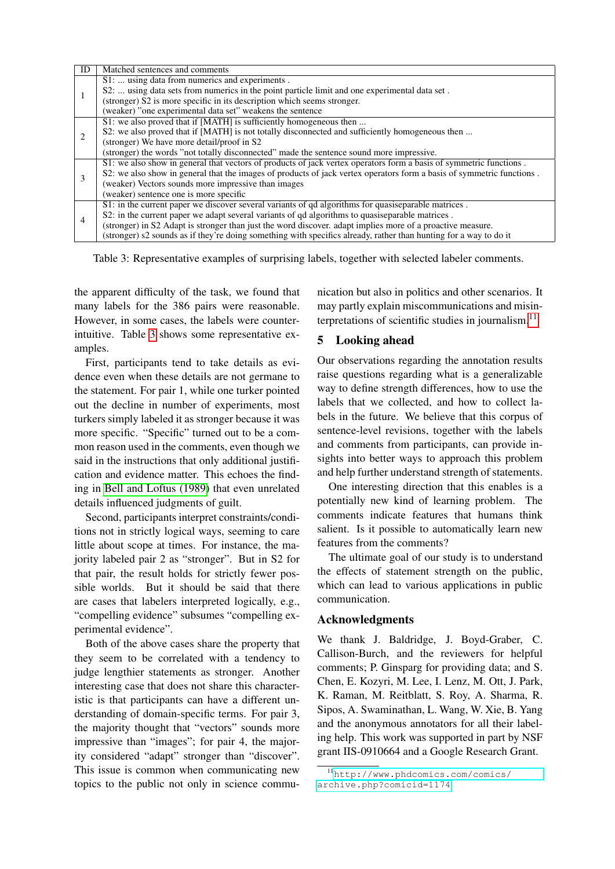<span id="page-4-0"></span>

| ID | Matched sentences and comments                                                                                        |
|----|-----------------------------------------------------------------------------------------------------------------------|
|    | S1:  using data from numerics and experiments.                                                                        |
|    | S2:  using data sets from numerics in the point particle limit and one experimental data set.                         |
|    | (stronger) S2 is more specific in its description which seems stronger.                                               |
|    | (weaker) "one experimental data set" weakens the sentence                                                             |
|    | S1: we also proved that if [MATH] is sufficiently homogeneous then                                                    |
|    | S2: we also proved that if [MATH] is not totally disconnected and sufficiently homogeneous then                       |
|    | (stronger) We have more detail/proof in S2                                                                            |
|    | (stronger) the words "not totally disconnected" made the sentence sound more impressive.                              |
|    | S1: we also show in general that vectors of products of jack vertex operators form a basis of symmetric functions.    |
|    | S2: we also show in general that the images of products of jack vertex operators form a basis of symmetric functions. |
|    | (weaker) Vectors sounds more impressive than images                                                                   |
|    | (weaker) sentence one is more specific                                                                                |
| 4  | S1: in the current paper we discover several variants of qd algorithms for quasiseparable matrices.                   |
|    | S2: in the current paper we adapt several variants of gd algorithms to quasiseparable matrices.                       |
|    | (stronger) in S2 Adapt is stronger than just the word discover, adapt implies more of a proactive measure.            |
|    | (stronger) s2 sounds as if they're doing something with specifics already, rather than hunting for a way to do it     |

Table 3: Representative examples of surprising labels, together with selected labeler comments.

the apparent difficulty of the task, we found that many labels for the 386 pairs were reasonable. However, in some cases, the labels were counterintuitive. Table [3](#page-4-0) shows some representative examples.

First, participants tend to take details as evidence even when these details are not germane to the statement. For pair 1, while one turker pointed out the decline in number of experiments, most turkers simply labeled it as stronger because it was more specific. "Specific" turned out to be a common reason used in the comments, even though we said in the instructions that only additional justification and evidence matter. This echoes the finding in [Bell and Loftus \(1989\)](#page-5-20) that even unrelated details influenced judgments of guilt.

Second, participants interpret constraints/conditions not in strictly logical ways, seeming to care little about scope at times. For instance, the majority labeled pair 2 as "stronger". But in S2 for that pair, the result holds for strictly fewer possible worlds. But it should be said that there are cases that labelers interpreted logically, e.g., "compelling evidence" subsumes "compelling experimental evidence".

Both of the above cases share the property that they seem to be correlated with a tendency to judge lengthier statements as stronger. Another interesting case that does not share this characteristic is that participants can have a different understanding of domain-specific terms. For pair 3, the majority thought that "vectors" sounds more impressive than "images"; for pair 4, the majority considered "adapt" stronger than "discover". This issue is common when communicating new topics to the public not only in science commu-

nication but also in politics and other scenarios. It may partly explain miscommunications and misinterpretations of scientific studies in journalism. $<sup>11</sup>$  $<sup>11</sup>$  $<sup>11</sup>$ </sup>

## 5 Looking ahead

Our observations regarding the annotation results raise questions regarding what is a generalizable way to define strength differences, how to use the labels that we collected, and how to collect labels in the future. We believe that this corpus of sentence-level revisions, together with the labels and comments from participants, can provide insights into better ways to approach this problem and help further understand strength of statements.

One interesting direction that this enables is a potentially new kind of learning problem. The comments indicate features that humans think salient. Is it possible to automatically learn new features from the comments?

The ultimate goal of our study is to understand the effects of statement strength on the public, which can lead to various applications in public communication.

## Acknowledgments

We thank J. Baldridge, J. Boyd-Graber, C. Callison-Burch, and the reviewers for helpful comments; P. Ginsparg for providing data; and S. Chen, E. Kozyri, M. Lee, I. Lenz, M. Ott, J. Park, K. Raman, M. Reitblatt, S. Roy, A. Sharma, R. Sipos, A. Swaminathan, L. Wang, W. Xie, B. Yang and the anonymous annotators for all their labeling help. This work was supported in part by NSF grant IIS-0910664 and a Google Research Grant.

<span id="page-4-1"></span><sup>11</sup>[http://www.phdcomics.com/comics/](http://www.phdcomics.com/comics/archive.php?comicid=1174) [archive.php?comicid=1174](http://www.phdcomics.com/comics/archive.php?comicid=1174)